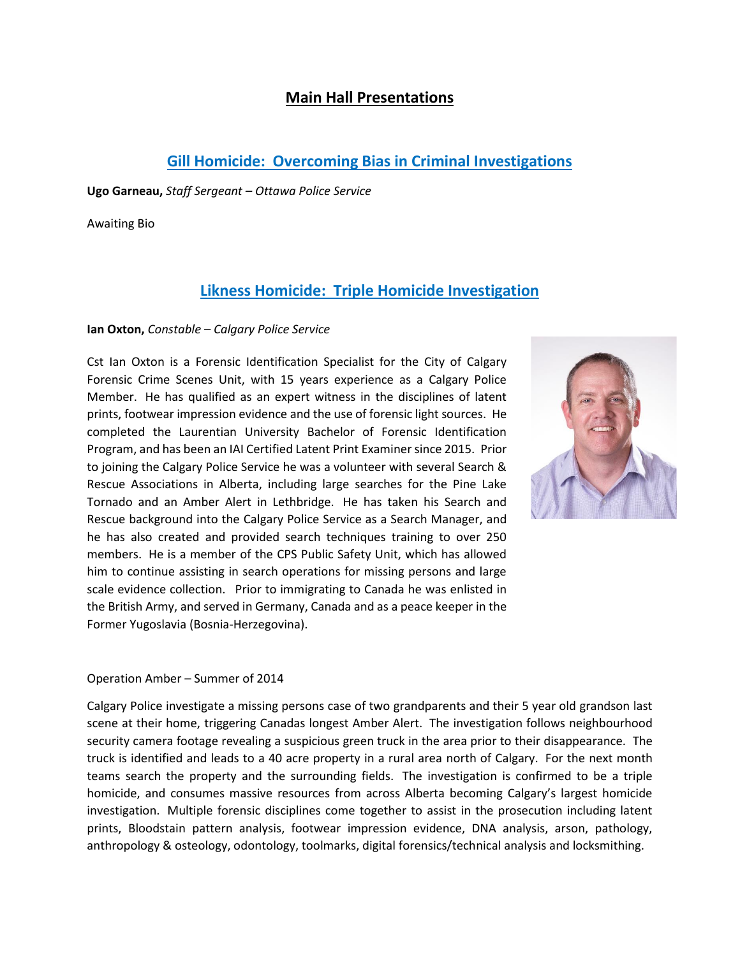## **Main Hall Presentations**

## **Gill Homicide: Overcoming Bias in Criminal Investigations**

**Ugo Garneau,** *Staff Sergeant – Ottawa Police Service*

Awaiting Bio

# **Likness Homicide: Triple Homicide Investigation**

### **Ian Oxton,** *Constable – Calgary Police Service*

Cst Ian Oxton is a Forensic Identification Specialist for the City of Calgary Forensic Crime Scenes Unit, with 15 years experience as a Calgary Police Member. He has qualified as an expert witness in the disciplines of latent prints, footwear impression evidence and the use of forensic light sources. He completed the Laurentian University Bachelor of Forensic Identification Program, and has been an IAI Certified Latent Print Examiner since 2015. Prior to joining the Calgary Police Service he was a volunteer with several Search & Rescue Associations in Alberta, including large searches for the Pine Lake Tornado and an Amber Alert in Lethbridge. He has taken his Search and Rescue background into the Calgary Police Service as a Search Manager, and he has also created and provided search techniques training to over 250 members. He is a member of the CPS Public Safety Unit, which has allowed him to continue assisting in search operations for missing persons and large scale evidence collection. Prior to immigrating to Canada he was enlisted in the British Army, and served in Germany, Canada and as a peace keeper in the Former Yugoslavia (Bosnia-Herzegovina).



#### Operation Amber – Summer of 2014

Calgary Police investigate a missing persons case of two grandparents and their 5 year old grandson last scene at their home, triggering Canadas longest Amber Alert. The investigation follows neighbourhood security camera footage revealing a suspicious green truck in the area prior to their disappearance. The truck is identified and leads to a 40 acre property in a rural area north of Calgary. For the next month teams search the property and the surrounding fields. The investigation is confirmed to be a triple homicide, and consumes massive resources from across Alberta becoming Calgary's largest homicide investigation. Multiple forensic disciplines come together to assist in the prosecution including latent prints, Bloodstain pattern analysis, footwear impression evidence, DNA analysis, arson, pathology, anthropology & osteology, odontology, toolmarks, digital forensics/technical analysis and locksmithing.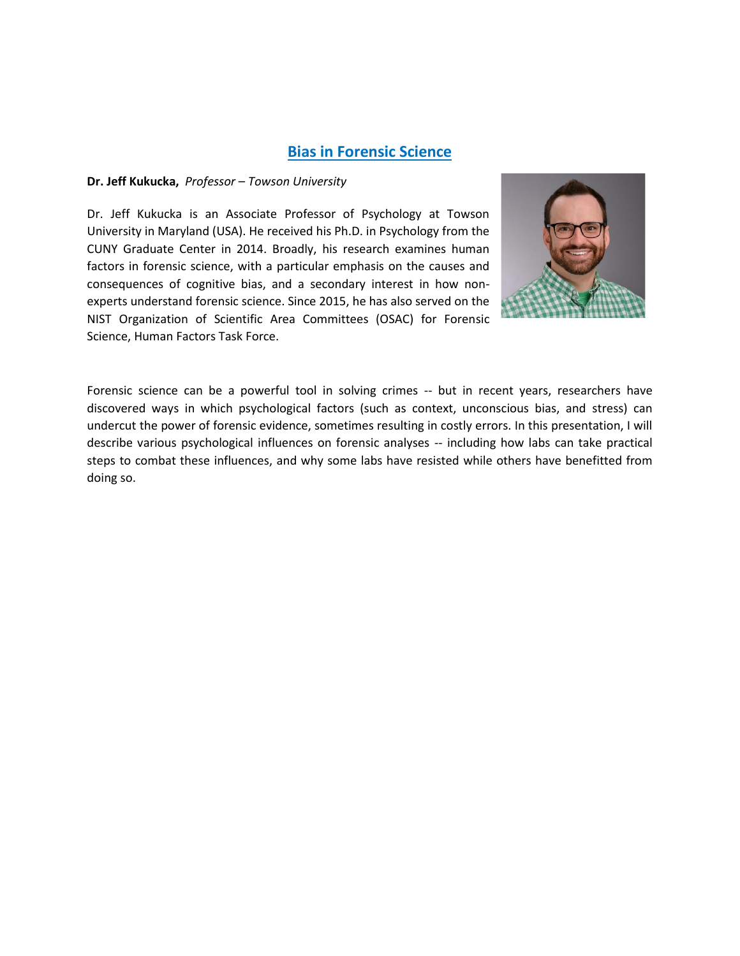### **Bias in Forensic Science**

#### **Dr. Jeff Kukucka,** *Professor – Towson University*

Dr. Jeff Kukucka is an Associate Professor of Psychology at Towson University in Maryland (USA). He received his Ph.D. in Psychology from the CUNY Graduate Center in 2014. Broadly, his research examines human factors in forensic science, with a particular emphasis on the causes and consequences of cognitive bias, and a secondary interest in how nonexperts understand forensic science. Since 2015, he has also served on the NIST Organization of Scientific Area Committees (OSAC) for Forensic Science, Human Factors Task Force.



Forensic science can be a powerful tool in solving crimes -- but in recent years, researchers have discovered ways in which psychological factors (such as context, unconscious bias, and stress) can undercut the power of forensic evidence, sometimes resulting in costly errors. In this presentation, I will describe various psychological influences on forensic analyses -- including how labs can take practical steps to combat these influences, and why some labs have resisted while others have benefitted from doing so.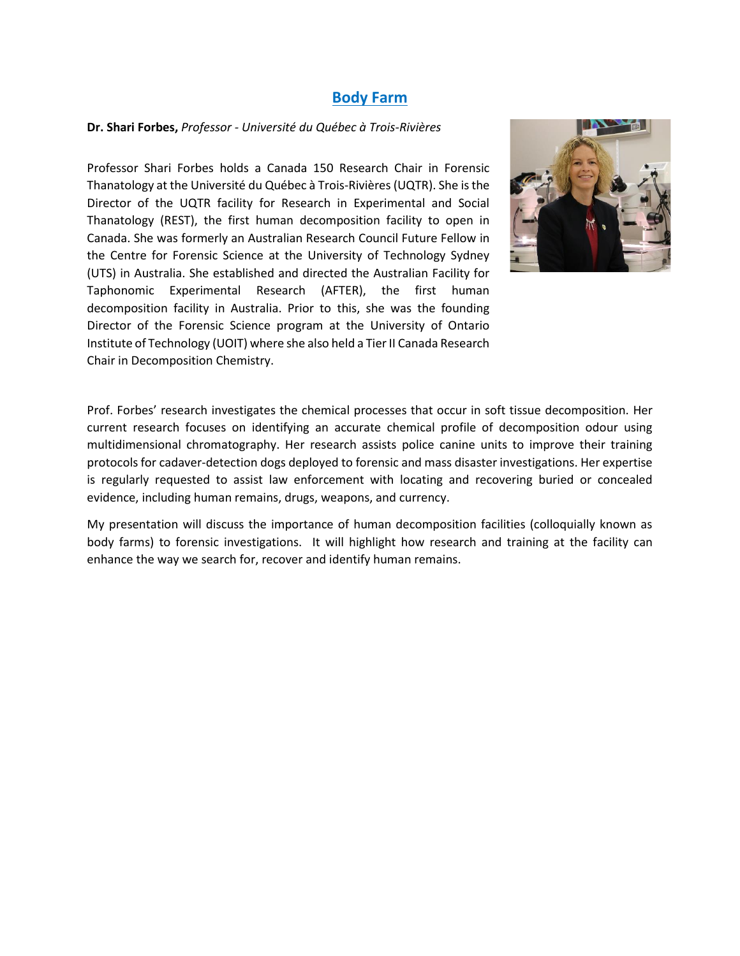## **Body Farm**

#### **Dr. Shari Forbes,** *Professor - Université du Québec à Trois-Rivières*

Professor Shari Forbes holds a Canada 150 Research Chair in Forensic Thanatology at the Université du Québec à Trois-Rivières (UQTR). She is the Director of the UQTR facility for Research in Experimental and Social Thanatology (REST), the first human decomposition facility to open in Canada. She was formerly an Australian Research Council Future Fellow in the Centre for Forensic Science at the University of Technology Sydney (UTS) in Australia. She established and directed the Australian Facility for Taphonomic Experimental Research (AFTER), the first human decomposition facility in Australia. Prior to this, she was the founding Director of the Forensic Science program at the University of Ontario Institute of Technology (UOIT) where she also held a Tier II Canada Research Chair in Decomposition Chemistry.



Prof. Forbes' research investigates the chemical processes that occur in soft tissue decomposition. Her current research focuses on identifying an accurate chemical profile of decomposition odour using multidimensional chromatography. Her research assists police canine units to improve their training protocols for cadaver-detection dogs deployed to forensic and mass disaster investigations. Her expertise is regularly requested to assist law enforcement with locating and recovering buried or concealed evidence, including human remains, drugs, weapons, and currency.

My presentation will discuss the importance of human decomposition facilities (colloquially known as body farms) to forensic investigations. It will highlight how research and training at the facility can enhance the way we search for, recover and identify human remains.